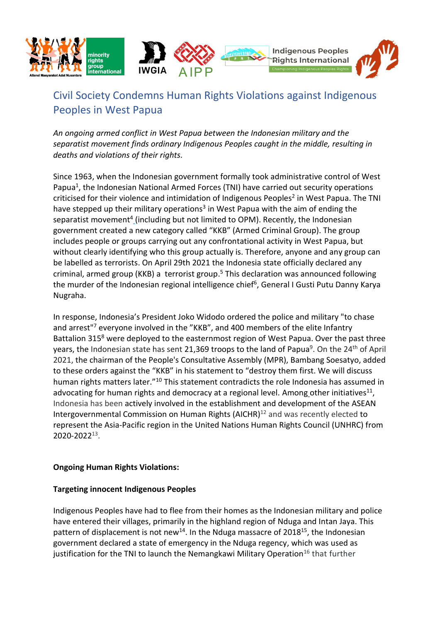

# Civil Society Condemns Human Rights Violations against Indigenous Peoples in West Papua

*An ongoing armed conflict in West Papua between the Indonesian military and the separatist movement finds ordinary Indigenous Peoples caught in the middle, resulting in deaths and violations of their rights.*

Since 1963, when the Indonesian government formally took administrative control of West Papua<sup>1</sup>, the Indonesian National Armed Forces (TNI) have carried out security operations criticised for their violence and intimidation of Indigenous Peoples<sup>2</sup> in West Papua. The TNI have stepped up their military operations<sup>3</sup> in West Papua with the aim of ending the separatist movement<sup>4</sup> (including but not limited to OPM). Recently, the Indonesian government created a new category called "KKB" (Armed Criminal Group). The group includes people or groups carrying out any confrontational activity in West Papua, but without clearly identifying who this group actually is. Therefore, anyone and any group can be labelled as terrorists. On April 29th 2021 the Indonesia state officially declared any criminal, armed group (KKB) a terrorist group. <sup>5</sup> This declaration was announced following the murder of the Indonesian regional intelligence chief<sup>6</sup>, General I Gusti Putu Danny Karya Nugraha.

In response, Indonesia's President Joko Widodo ordered the police and military "to chase and arrest<sup>"7</sup> everyone involved in the "KKB", and 400 members of the elite Infantry Battalion 315<sup>8</sup> were deployed to the easternmost region of West Papua. Over the past three years, the Indonesian state has sent 21,369 troops to the land of Papua<sup>9</sup>. On the 24<sup>th</sup> of April 2021, the chairman of the People's Consultative Assembly (MPR), Bambang Soesatyo, added to these orders against the "KKB" in his statement to "destroy them first. We will discuss human rights matters later."<sup>10</sup> This statement contradicts the role Indonesia has assumed in advocating for human rights and democracy at a regional level. Among other initiatives<sup>11</sup>, Indonesia has been actively involved in the establishment and development of the ASEAN Intergovernmental Commission on Human Rights (AICHR)<sup>12</sup> and was recently elected to represent the Asia-Pacific region in the United Nations Human Rights Council (UNHRC) from 2020-2022<sup>13</sup> .

# **Ongoing Human Rights Violations:**

# **Targeting innocent Indigenous Peoples**

Indigenous Peoples have had to flee from their homes as the Indonesian military and police have entered their villages, primarily in the highland region of Nduga and Intan Jaya. This pattern of displacement is not new<sup>14</sup>. In the Nduga massacre of 2018<sup>15</sup>, the Indonesian government declared a state of emergency in the Nduga regency, which was used as justification for the TNI to launch the Nemangkawi Military Operation<sup>16</sup> that further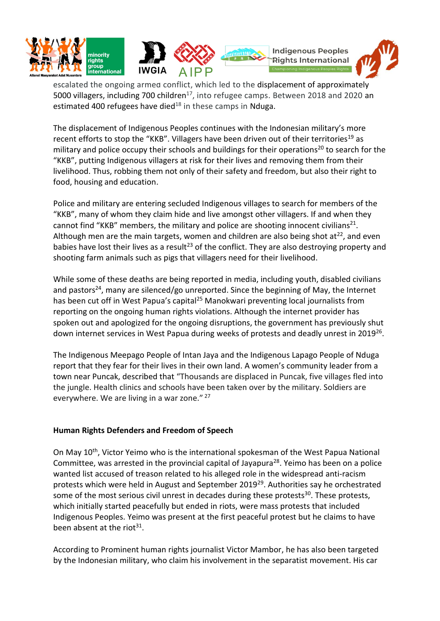

escalated the ongoing armed conflict, which led to the displacement of approximately 5000 villagers, including 700 children<sup>17</sup>, into refugee camps. Between 2018 and 2020 an estimated 400 refugees have died $18$  in these camps in Nduga.

The displacement of Indigenous Peoples continues with the Indonesian military's more recent efforts to stop the "KKB". Villagers have been driven out of their territories<sup>19</sup> as military and police occupy their schools and buildings for their operations<sup>20</sup> to search for the "KKB", putting Indigenous villagers at risk for their lives and removing them from their livelihood. Thus, robbing them not only of their safety and freedom, but also their right to food, housing and education.

Police and military are entering secluded Indigenous villages to search for members of the "KKB", many of whom they claim hide and live amongst other villagers. If and when they cannot find "KKB" members, the military and police are shooting innocent civilians<sup>21</sup>. Although men are the main targets, women and children are also being shot at<sup>22</sup>, and even babies have lost their lives as a result<sup>23</sup> of the conflict. They are also destroying property and shooting farm animals such as pigs that villagers need for their livelihood.

While some of these deaths are being reported in media, including youth, disabled civilians and pastors<sup>24</sup>, many are silenced/go unreported. Since the beginning of May, the Internet has been cut off in West Papua's capital<sup>25</sup> Manokwari preventing local journalists from reporting on the ongoing human rights violations. Although the internet provider has spoken out and apologized for the ongoing disruptions, the government has previously shut down internet services in West Papua during weeks of protests and deadly unrest in 2019<sup>26</sup>.

The Indigenous Meepago People of Intan Jaya and the Indigenous Lapago People of Nduga report that they fear for their lives in their own land. A women's community leader from a town near Puncak, described that "Thousands are displaced in Puncak, five villages fled into the jungle. Health clinics and schools have been taken over by the military. Soldiers are everywhere. We are living in a war zone." <sup>27</sup>

# **Human Rights Defenders and Freedom of Speech**

On May 10<sup>th</sup>, Victor Yeimo who is the international spokesman of the West Papua National Committee, was arrested in the provincial capital of Jayapura<sup>28</sup>. Yeimo has been on a police wanted list accused of treason related to his alleged role in the widespread anti-racism protests which were held in August and September 2019<sup>29</sup>. Authorities say he orchestrated some of the most serious civil unrest in decades during these protests<sup>30</sup>. These protests, which initially started peacefully but ended in riots, were mass protests that included Indigenous Peoples. Yeimo was present at the first peaceful protest but he claims to have been absent at the riot<sup>31</sup>.

According to Prominent human rights journalist Victor Mambor, he has also been targeted by the Indonesian military, who claim his involvement in the separatist movement. His car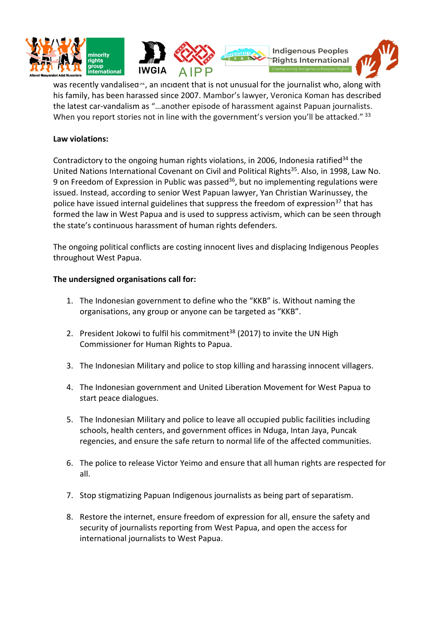

was recently vandalised<sup>32</sup>, an incident that is not unusual for the journalist who, along with his family, has been harassed since 2007. Mambor's lawyer, Veronica Koman has described the latest car-vandalism as "…another episode of harassment against Papuan journalists. When you report stories not in line with the government's version you'll be attacked." 33

### **Law violations:**

Contradictory to the ongoing human rights violations, in 2006, Indonesia ratified<sup>34</sup> the United Nations International Covenant on Civil and Political Rights<sup>35</sup>. Also, in 1998, Law No. 9 on Freedom of Expression in Public was passed<sup>36</sup>, but no implementing regulations were issued. Instead, according to senior West Papuan lawyer, Yan Christian Warinussey, the police have issued internal guidelines that suppress the freedom of expression<sup>37</sup> that has formed the law in West Papua and is used to suppress activism, which can be seen through the state's continuous harassment of human rights defenders.

The ongoing political conflicts are costing innocent lives and displacing Indigenous Peoples throughout West Papua.

### **The undersigned organisations call for:**

- 1. The Indonesian government to define who the "KKB" is. Without naming the organisations, any group or anyone can be targeted as "KKB".
- 2. President Jokowi to fulfil his commitment<sup>38</sup> (2017) to invite the UN High Commissioner for Human Rights to Papua.
- 3. The Indonesian Military and police to stop killing and harassing innocent villagers.
- 4. The Indonesian government and United Liberation Movement for West Papua to start peace dialogues.
- 5. The Indonesian Military and police to leave all occupied public facilities including schools, health centers, and government offices in Nduga, Intan Jaya, Puncak regencies, and ensure the safe return to normal life of the affected communities.
- 6. The police to release Victor Yeimo and ensure that all human rights are respected for all.
- 7. Stop stigmatizing Papuan Indigenous journalists as being part of separatism.
- 8. Restore the internet, ensure freedom of expression for all, ensure the safety and security of journalists reporting from West Papua, and open the access for international journalists to West Papua.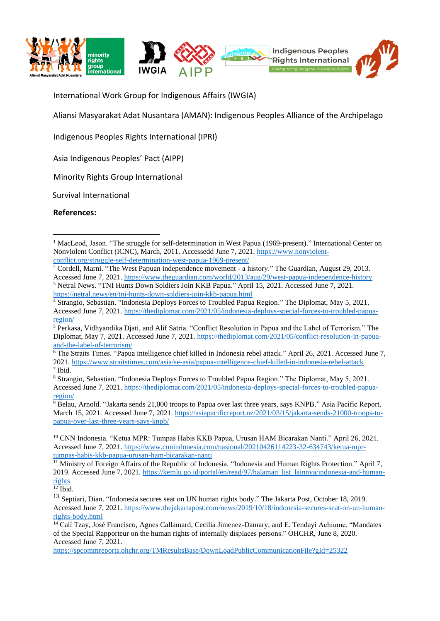

International Work Group for Indigenous Affairs (IWGIA)

Aliansi Masyarakat Adat Nusantara (AMAN): Indigenous Peoples Alliance of the Archipelago

Indigenous Peoples Rights International (IPRI)

Asia Indigenous Peoples' Pact (AIPP)

Minority Rights Group International

Survival International

**References:**

<sup>&</sup>lt;sup>1</sup> MacLeod, Jason. "The struggle for self-determination in West Papua (1969-present)." International Center on Nonviolent Conflict (ICNC), March, 2011. Accessedd June 7, 2021[. https://www.nonviolent](https://www.nonviolent-conflict.org/struggle-self-determination-west-papua-1969-present/)[conflict.org/struggle-self-determination-west-papua-1969-present/](https://www.nonviolent-conflict.org/struggle-self-determination-west-papua-1969-present/)

 $2$  Cordell, Marni. "The West Papuan independence movement - a history." The Guardian, August 29, 2013. Accessed June 7, 2021.<https://www.theguardian.com/world/2013/aug/29/west-papua-independence-history> <sup>3</sup> Netral News. "TNI Hunts Down Soldiers Join KKB Papua." April 15, 2021. Accessed June 7, 2021. <https://netral.news/en/tni-hunts-down-soldiers-join-kkb-papua.html>

<sup>4</sup> Strangio, Sebastian. "Indonesia Deploys Forces to Troubled Papua Region." The Diplomat, May 5, 2021. Accessed June 7, 2021. [https://thediplomat.com/2021/05/indonesia-deploys-special-forces-to-troubled-papua](https://thediplomat.com/2021/05/indonesia-deploys-special-forces-to-troubled-papua-region/)[region/](https://thediplomat.com/2021/05/indonesia-deploys-special-forces-to-troubled-papua-region/)

<sup>5</sup> Perkasa, Vidhyandika Djati, and Alif Satria. "Conflict Resolution in Papua and the Label of Terrorism." The Diplomat, May 7, 2021. Accessed June 7, 2021. [https://thediplomat.com/2021/05/conflict-resolution-in-papua](https://thediplomat.com/2021/05/conflict-resolution-in-papua-and-the-label-of-terrorism/)[and-the-label-of-terrorism/](https://thediplomat.com/2021/05/conflict-resolution-in-papua-and-the-label-of-terrorism/)

<sup>6</sup> The Straits Times. "Papua intelligence chief killed in Indonesia rebel attack." April 26, 2021. Accessed June 7, 2021.<https://www.straitstimes.com/asia/se-asia/papua-intelligence-chief-killed-in-indonesia-rebel-attack> 7 Ibid.

<sup>8</sup> Strangio, Sebastian. "Indonesia Deploys Forces to Troubled Papua Region." The Diplomat, May 5, 2021. Accessed June 7, 2021. [https://thediplomat.com/2021/05/indonesia-deploys-special-forces-to-troubled-papua](https://thediplomat.com/2021/05/indonesia-deploys-special-forces-to-troubled-papua-region/)[region/](https://thediplomat.com/2021/05/indonesia-deploys-special-forces-to-troubled-papua-region/)

<sup>&</sup>lt;sup>9</sup> Belau, Arnold. "Jakarta sends 21,000 troops to Papua over last three years, says KNPB." Asia Pacific Report, March 15, 2021. Accessed June 7, 2021[. https://asiapacificreport.nz/2021/03/15/jakarta-sends-21000-troops-to](https://asiapacificreport.nz/2021/03/15/jakarta-sends-21000-troops-to-papua-over-last-three-years-says-knpb/)[papua-over-last-three-years-says-knpb/](https://asiapacificreport.nz/2021/03/15/jakarta-sends-21000-troops-to-papua-over-last-three-years-says-knpb/)

<sup>10</sup> CNN Indonesia. "Ketua MPR: Tumpas Habis KKB Papua, Urusan HAM Bicarakan Nanti." April 26, 2021. Accessed June 7, 2021. [https://www.cnnindonesia.com/nasional/20210426114223-32-634743/ketua-mpr](https://www.cnnindonesia.com/nasional/20210426114223-32-634743/ketua-mpr-tumpas-habis-kkb-papua-urusan-ham-bicarakan-nanti)[tumpas-habis-kkb-papua-urusan-ham-bicarakan-nanti](https://www.cnnindonesia.com/nasional/20210426114223-32-634743/ketua-mpr-tumpas-habis-kkb-papua-urusan-ham-bicarakan-nanti)

<sup>11</sup> Ministry of Foreign Affairs of the Republic of Indonesia. "Indonesia and Human Rights Protection." April 7, 2019. Accessed June 7, 2021. [https://kemlu.go.id/portal/en/read/97/halaman\\_list\\_lainnya/indonesia-and-human](https://kemlu.go.id/portal/en/read/97/halaman_list_lainnya/indonesia-and-human-rights)[rights](https://kemlu.go.id/portal/en/read/97/halaman_list_lainnya/indonesia-and-human-rights)

 $12$  Ibid.

<sup>&</sup>lt;sup>13</sup> Septiari, Dian. "Indonesia secures seat on UN human rights body." The Jakarta Post, October 18, 2019. Accessed June 7, 2021. [https://www.thejakartapost.com/news/2019/10/18/indonesia-secures-seat-on-un-human](https://www.thejakartapost.com/news/2019/10/18/indonesia-secures-seat-on-un-human-rights-body.html)[rights-body.html](https://www.thejakartapost.com/news/2019/10/18/indonesia-secures-seat-on-un-human-rights-body.html)

<sup>&</sup>lt;sup>14</sup> Calí Tzay, José Francisco, Agnes Callamard, Cecilia Jimenez-Damary, and E. Tendayi Achiume. "Mandates" of the Special Rapporteur on the human rights of internally displaces persons." OHCHR, June 8, 2020. Accessed June 7, 2021.

<https://spcommreports.ohchr.org/TMResultsBase/DownLoadPublicCommunicationFile?gId=25322>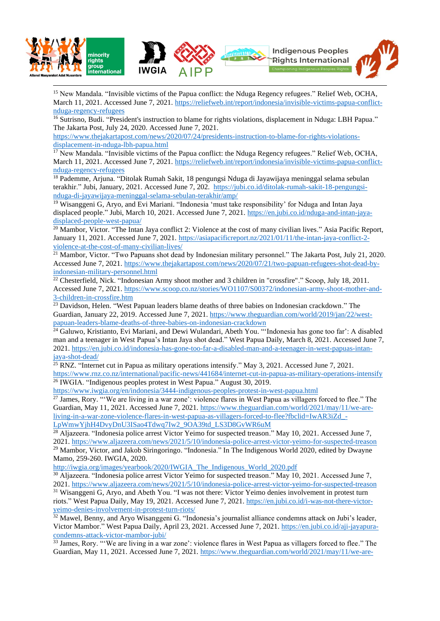

<sup>15</sup> New Mandala. "Invisible victims of the Papua conflict: the Nduga Regency refugees." Relief Web, OCHA, March 11, 2021. Accessed June 7, 2021[. https://reliefweb.int/report/indonesia/invisible-victims-papua-conflict](https://reliefweb.int/report/indonesia/invisible-victims-papua-conflict-nduga-regency-refugees)[nduga-regency-refugees](https://reliefweb.int/report/indonesia/invisible-victims-papua-conflict-nduga-regency-refugees)

<sup>16</sup> Sutrisno, Budi. "President's instruction to blame for rights violations, displacement in Nduga: LBH Papua." The Jakarta Post, July 24, 2020. Accessed June 7, 2021.

[https://www.thejakartapost.com/news/2020/07/24/presidents-instruction-to-blame-for-rights-violations](https://www.thejakartapost.com/news/2020/07/24/presidents-instruction-to-blame-for-rights-violations-displacement-in-nduga-lbh-papua.html)[displacement-in-nduga-lbh-papua.html](https://www.thejakartapost.com/news/2020/07/24/presidents-instruction-to-blame-for-rights-violations-displacement-in-nduga-lbh-papua.html)

<sup>17</sup> New Mandala. "Invisible victims of the Papua conflict: the Nduga Regency refugees." Relief Web, OCHA, March 11, 2021. Accessed June 7, 2021[. https://reliefweb.int/report/indonesia/invisible-victims-papua-conflict](https://reliefweb.int/report/indonesia/invisible-victims-papua-conflict-nduga-regency-refugees)[nduga-regency-refugees](https://reliefweb.int/report/indonesia/invisible-victims-papua-conflict-nduga-regency-refugees)

<sup>18</sup> Pademme, Arjuna. "Ditolak Rumah Sakit, 18 pengungsi Nduga di Jayawijaya meninggal selama sebulan terakhir." Jubi, January, 2021. Accessed June 7, 202. [https://jubi.co.id/ditolak-rumah-sakit-18-pengungsi](https://jubi.co.id/ditolak-rumah-sakit-18-pengungsi-nduga-di-jayawijaya-meninggal-selama-sebulan-terakhir/amp/)[nduga-di-jayawijaya-meninggal-selama-sebulan-terakhir/amp/](https://jubi.co.id/ditolak-rumah-sakit-18-pengungsi-nduga-di-jayawijaya-meninggal-selama-sebulan-terakhir/amp/)

<sup>19</sup> Wisanggeni G, Aryo, and Evi Mariani. "Indonesia 'must take responsibility' for Nduga and Intan Jaya displaced people." Jubi, March 10, 2021. Accessed June 7, 2021. [https://en.jubi.co.id/nduga-and-intan-jaya](https://en.jubi.co.id/nduga-and-intan-jaya-displaced-people-west-papua/)[displaced-people-west-papua/](https://en.jubi.co.id/nduga-and-intan-jaya-displaced-people-west-papua/)

<sup>20</sup> Mambor, Victor. "The Intan Jaya conflict 2: Violence at the cost of many civilian lives." Asia Pacific Report, January 11, 2021. Accessed June 7, 2021[. https://asiapacificreport.nz/2021/01/11/the-intan-jaya-conflict-2](https://asiapacificreport.nz/2021/01/11/the-intan-jaya-conflict-2-violence-at-the-cost-of-many-civilian-lives/) [violence-at-the-cost-of-many-civilian-lives/](https://asiapacificreport.nz/2021/01/11/the-intan-jaya-conflict-2-violence-at-the-cost-of-many-civilian-lives/)

 $21$  Mambor, Victor. "Two Papuans shot dead by Indonesian military personnel." The Jakarta Post, July 21, 2020. Accessed June 7, 2021. [https://www.thejakartapost.com/news/2020/07/21/two-papuan-refugees-shot-dead-by](https://www.thejakartapost.com/news/2020/07/21/two-papuan-refugees-shot-dead-by-indonesian-military-personnel.html)[indonesian-military-personnel.html](https://www.thejakartapost.com/news/2020/07/21/two-papuan-refugees-shot-dead-by-indonesian-military-personnel.html)

 $22$  Chesterfield, Nick. "Indonesian Army shoot mother and 3 children in "crossfire"." Scoop, July 18, 2011. Accessed June 7, 2021. [https://www.scoop.co.nz/stories/WO1107/S00372/indonesian-army-shoot-mother-and-](https://www.scoop.co.nz/stories/WO1107/S00372/indonesian-army-shoot-mother-and-3-children-in-crossfire.htm)[3-children-in-crossfire.htm](https://www.scoop.co.nz/stories/WO1107/S00372/indonesian-army-shoot-mother-and-3-children-in-crossfire.htm)

<sup>23</sup> Davidson, Helen. "West Papuan leaders blame deaths of three babies on Indonesian crackdown." The Guardian, January 22, 2019. Accessed June 7, 2021. [https://www.theguardian.com/world/2019/jan/22/west](https://www.theguardian.com/world/2019/jan/22/west-papuan-leaders-blame-deaths-of-three-babies-on-indonesian-crackdown)[papuan-leaders-blame-deaths-of-three-babies-on-indonesian-crackdown](https://www.theguardian.com/world/2019/jan/22/west-papuan-leaders-blame-deaths-of-three-babies-on-indonesian-crackdown)

<sup>24</sup> Galuwo, Kristianto, Evi Mariani, and Dewi Wulandari, Abeth You. "'Indonesia has gone too far': A disabled man and a teenager in West Papua's Intan Jaya shot dead." West Papua Daily, March 8, 2021. Accessed June 7, 2021. [https://en.jubi.co.id/indonesia-has-gone-too-far-a-disabled-man-and-a-teenager-in-west-papuas-intan](https://en.jubi.co.id/indonesia-has-gone-too-far-a-disabled-man-and-a-teenager-in-west-papuas-intan-jaya-shot-dead/)[jaya-shot-dead/](https://en.jubi.co.id/indonesia-has-gone-too-far-a-disabled-man-and-a-teenager-in-west-papuas-intan-jaya-shot-dead/)

 $^{25}$  RNZ. "Internet cut in Papua as military operations intensify." May 3, 2021. Accessed June 7, 2021. <https://www.rnz.co.nz/international/pacific-news/441684/internet-cut-in-papua-as-military-operations-intensify> <sup>26</sup> IWGIA. "Indigenous peoples protest in West Papua." August 30, 2019.

<https://www.iwgia.org/en/indonesia/3444-indigenous-peoples-protest-in-west-papua.html>

 $^{27}$  James, Rory. "'We are living in a war zone': violence flares in West Papua as villagers forced to flee." The Guardian, May 11, 2021. Accessed June 7, 2021. [https://www.theguardian.com/world/2021/may/11/we-are](https://www.theguardian.com/world/2021/may/11/we-are-living-in-a-war-zone-violence-flares-in-west-papua-as-villagers-forced-to-flee?fbclid=IwAR3iZd_-LpWmwYjhH4DvyDnU3ISao4Tdwq7Iw2_9OA39td_LS3D8GvWR6uM)[living-in-a-war-zone-violence-flares-in-west-papua-as-villagers-forced-to-flee?fbclid=IwAR3iZd\\_-](https://www.theguardian.com/world/2021/may/11/we-are-living-in-a-war-zone-violence-flares-in-west-papua-as-villagers-forced-to-flee?fbclid=IwAR3iZd_-LpWmwYjhH4DvyDnU3ISao4Tdwq7Iw2_9OA39td_LS3D8GvWR6uM) [LpWmwYjhH4DvyDnU3ISao4Tdwq7Iw2\\_9OA39td\\_LS3D8GvWR6uM](https://www.theguardian.com/world/2021/may/11/we-are-living-in-a-war-zone-violence-flares-in-west-papua-as-villagers-forced-to-flee?fbclid=IwAR3iZd_-LpWmwYjhH4DvyDnU3ISao4Tdwq7Iw2_9OA39td_LS3D8GvWR6uM)

 $\overline{^{28}}$  Aljazeera. "Indonesia police arrest Victor Yeimo for suspected treason." May 10, 2021. Accessed June 7, 2021.<https://www.aljazeera.com/news/2021/5/10/indonesia-police-arrest-victor-yeimo-for-suspected-treason> <sup>29</sup> Mambor, Victor, and Jakob Siringoringo. "Indonesia." In The Indigenous World 2020, edited by Dwayne Mamo, 259-260. IWGIA, 2020.

[http://iwgia.org/images/yearbook/2020/IWGIA\\_The\\_Indigenous\\_World\\_2020.pdf](http://iwgia.org/images/yearbook/2020/IWGIA_The_Indigenous_World_2020.pdf)

<sup>30</sup> Aljazeera. "Indonesia police arrest Victor Yeimo for suspected treason." May 10, 2021. Accessed June 7, 2021.<https://www.aljazeera.com/news/2021/5/10/indonesia-police-arrest-victor-yeimo-for-suspected-treason> <sup>31</sup> Wisanggeni G, Aryo, and Abeth You. "I was not there: Victor Yeimo denies involvement in protest turn riots." West Papua Daily, May 19, 2021. Accessed June 7, 2021. [https://en.jubi.co.id/i-was-not-there-victor](https://en.jubi.co.id/i-was-not-there-victor-yeimo-denies-involvement-in-protest-turn-riots/)[yeimo-denies-involvement-in-protest-turn-riots/](https://en.jubi.co.id/i-was-not-there-victor-yeimo-denies-involvement-in-protest-turn-riots/)

 $32$  Mawel, Benny, and Aryo Wisanggeni G. "Indonesia's journalist alliance condemns attack on Jubi's leader, Victor Mambor." West Papua Daily, April 23, 2021. Accessed June 7, 2021. [https://en.jubi.co.id/aji-jayapura](https://en.jubi.co.id/aji-jayapura-condemns-attack-victor-mambor-jubi/)[condemns-attack-victor-mambor-jubi/](https://en.jubi.co.id/aji-jayapura-condemns-attack-victor-mambor-jubi/)

 $\frac{33}{33}$  James, Rory. "'We are living in a war zone': violence flares in West Papua as villagers forced to flee." The Guardian, May 11, 2021. Accessed June 7, 2021. [https://www.theguardian.com/world/2021/may/11/we-are-](https://www.theguardian.com/world/2021/may/11/we-are-living-in-a-war-zone-violence-flares-in-west-papua-as-villagers-forced-to-flee?fbclid=IwAR3iZd_-LpWmwYjhH4DvyDnU3ISao4Tdwq7Iw2_9OA39td_LS3D8GvWR6uM)